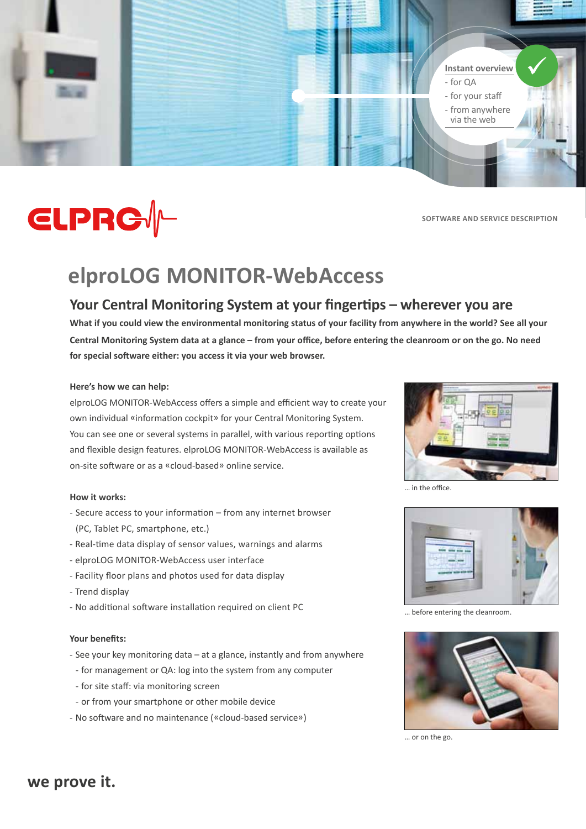

# **CLPRG//-**

**Software and Service Description**

## **elproLOG MONITOR-WebAccess**

## **Your Central Monitoring System at your fingertips – wherever you are**

**What if you could view the environmental monitoring status of your facility from anywhere in the world? See all your Central Monitoring System data at a glance – from your office, before entering the cleanroom or on the go. No need for special software either: you access it via your web browser.**

## **Here's how we can help:**

elproLOG MONITOR-WebAccess offers a simple and efficient way to create your own individual «information cockpit» for your Central Monitoring System. You can see one or several systems in parallel, with various reporting options and flexible design features. elproLOG MONITOR-WebAccess is available as on-site software or as a «cloud-based» online service.

## **How it works:**

- Secure access to your information from any internet browser (PC, Tablet PC, smartphone, etc.)
- Real-time data display of sensor values, warnings and alarms
- elproLOG MONITOR-WebAccess user interface
- Facility floor plans and photos used for data display
- Trend display
- No additional software installation required on client PC

## **Your benefits:**

- See your key monitoring data at a glance, instantly and from anywhere
- for management or QA: log into the system from any computer
- - for site staff: via monitoring screen
- - or from your smartphone or other mobile device
- - No software and no maintenance («cloud-based service»)



… in the office.



… before entering the cleanroom.



… or on the go.

## **we prove it.**